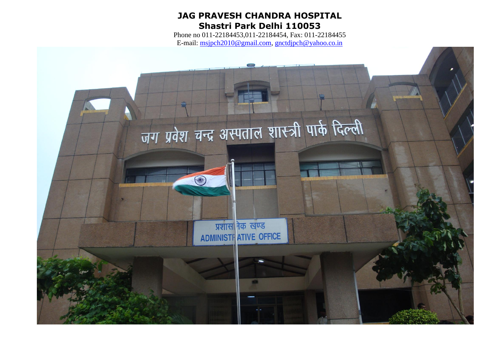# **JAG PRAVESH CHANDRA HOSPITAL Shastri Park Delhi 110053**

Phone no 011-22184453,011-22184454, Fax: 011-22184455 E-mail: [msjpch2010@gmail.com,](mailto:msjpch2010@gmail.com) [gnctdjpch@yahoo.co.in](mailto:gnctdjpch@yahoo.co.in)

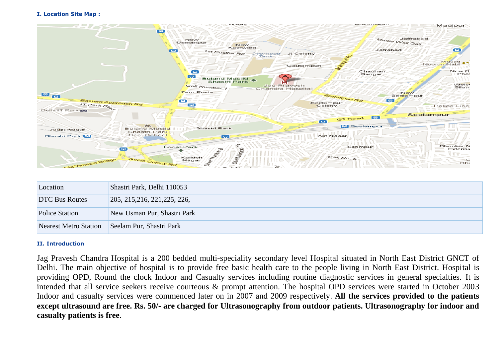#### **I. Location Site Map :**



| Location              | Shastri Park, Delhi 110053    |
|-----------------------|-------------------------------|
| <b>DTC Bus Routes</b> | 205, 215, 216, 221, 225, 226, |
| <b>Police Station</b> | New Usman Pur, Shastri Park   |
| Nearest Metro Station | Seelam Pur, Shastri Park      |

### **II. Introduction**

Jag Pravesh Chandra Hospital is a 200 bedded multi-speciality secondary level Hospital situated in North East District GNCT of Delhi. The main objective of hospital is to provide free basic health care to the people living in North East District. Hospital is providing OPD, Round the clock Indoor and Casualty services including routine diagnostic services in general specialties. It is intended that all service seekers receive courteous & prompt attention. The hospital OPD services were started in October 2003 Indoor and casualty services were commenced later on in 2007 and 2009 respectively. **All the services provided to the patients except ultrasound are free. Rs. 50/- are charged for Ultrasonography from outdoor patients. Ultrasonography for indoor and casualty patients is free**.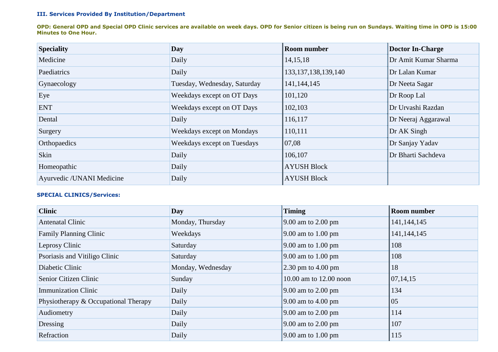### **III. Services Provided By Institution/Department**

**OPD: General OPD and Special OPD Clinic services are available on week days. OPD for Senior citizen is being run on Sundays. Waiting time in OPD is 15:00 Minutes to One Hour.**

| <b>Speciality</b>         | Day                          | <b>Room number</b>      | Doctor In-Charge     |
|---------------------------|------------------------------|-------------------------|----------------------|
| Medicine                  | Daily                        | 14, 15, 18              | Dr Amit Kumar Sharma |
| Paediatrics               | Daily                        | 133, 137, 138, 139, 140 | Dr Lalan Kumar       |
| Gynaecology               | Tuesday, Wednesday, Saturday | 141, 144, 145           | Dr Neeta Sagar       |
| Eye                       | Weekdays except on OT Days   | 101,120                 | Dr Roop Lal          |
| <b>ENT</b>                | Weekdays except on OT Days   | 102,103                 | Dr Urvashi Razdan    |
| Dental                    | Daily                        | 116,117                 | Dr Neeraj Aggarawal  |
| Surgery                   | Weekdays except on Mondays   | 110,111                 | $DrAK$ Singh         |
| Orthopaedics              | Weekdays except on Tuesdays  | 07,08                   | Dr Sanjay Yadav      |
| Skin                      | Daily                        | 106,107                 | Dr Bharti Sachdeva   |
| Homeopathic               | Daily                        | <b>AYUSH Block</b>      |                      |
| Ayurvedic /UNANI Medicine | Daily                        | <b>AYUSH Block</b>      |                      |

#### **SPECIAL CLINICS/Services:**

| <b>Clinic</b>                        | Day               | <b>Timing</b>                                     | <b>Room number</b> |
|--------------------------------------|-------------------|---------------------------------------------------|--------------------|
| Antenatal Clinic                     | Monday, Thursday  | $\vert 9.00$ am to 2.00 pm                        | 141, 144, 145      |
| <b>Family Planning Clinic</b>        | Weekdays          | $\parallel$ 9.00 am to 1.00 pm                    | 141, 144, 145      |
| Leprosy Clinic                       | Saturday          | $\vert 9.00 \text{ am to } 1.00 \text{ pm} \vert$ | 108                |
| Psoriasis and Vitiligo Clinic        | Saturday          | $\vert 9.00 \vert$ am to 1.00 pm                  | 108                |
| Diabetic Clinic                      | Monday, Wednesday | $2.30$ pm to $4.00$ pm                            | 18                 |
| Senior Citizen Clinic                | Sunday            | 10.00 am to 12.00 noon                            | 07,14,15           |
| <b>Immunization Clinic</b>           | Daily             | $\vert 9.00$ am to 2.00 pm                        | 134                |
| Physiotherapy & Occupational Therapy | Daily             | $\vert 9.00 \vert$ am to 4.00 pm                  | 05                 |
| Audiometry                           | Daily             | $\vert 9.00$ am to 2.00 pm                        | 114                |
| Dressing                             | Daily             | $\vert 9.00$ am to 2.00 pm                        | 107                |
| Refraction                           | Daily             | $\parallel$ 9.00 am to 1.00 pm                    | 115                |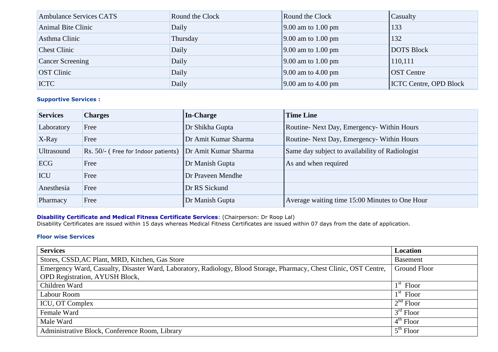| <b>Ambulance Services CATS</b> | Round the Clock | Round the Clock                | Casualty                      |
|--------------------------------|-----------------|--------------------------------|-------------------------------|
| Animal Bite Clinic             | Daily           | $\parallel$ 9.00 am to 1.00 pm | 133                           |
| Asthma Clinic                  | Thursday        | $\parallel$ 9.00 am to 1.00 pm | 132                           |
| <b>Chest Clinic</b>            | Daily           | $\parallel$ 9.00 am to 1.00 pm | <b>DOTS Block</b>             |
| <b>Cancer Screening</b>        | Daily           | $\parallel$ 9.00 am to 1.00 pm | 110,111                       |
| <b>OST</b> Clinic              | Daily           | $\parallel$ 9.00 am to 4.00 pm | <b>OST</b> Centre             |
| <b>ICTC</b>                    | Daily           | $\parallel$ 9.00 am to 4.00 pm | <b>ICTC Centre, OPD Block</b> |

# **Supportive Services :**

| <b>Services</b>   | <b>Charges</b>                      | In-Charge            | <b>Time Line</b>                                |
|-------------------|-------------------------------------|----------------------|-------------------------------------------------|
| Laboratory        | Free                                | Dr Shikha Gupta      | Routine- Next Day, Emergency- Within Hours      |
| $X$ -Ray          | Free                                | Dr Amit Kumar Sharma | Routine- Next Day, Emergency- Within Hours      |
| <b>Ultrasound</b> | Rs. 50/- (Free for Indoor patients) | Dr Amit Kumar Sharma | Same day subject to availability of Radiologist |
| ECG               | Free                                | Dr Manish Gupta      | As and when required                            |
| ICU               | Free                                | Dr Praveen Mendhe    |                                                 |
| Anesthesia        | Free                                | Dr RS Sickund        |                                                 |
| Pharmacy          | Free                                | Dr Manish Gupta      | Average waiting time 15:00 Minutes to One Hour  |

#### **Disability Certificate and Medical Fitness Certificate Services**: (Chairperson: Dr Roop Lal)

Disability Certificates are issued within 15 days whereas Medical Fitness Certificates are issued within 07 days from the date of application.

# **Floor wise Services**

| <b>Services</b>                                                                                                    | Location            |
|--------------------------------------------------------------------------------------------------------------------|---------------------|
| Stores, CSSD, AC Plant, MRD, Kitchen, Gas Store                                                                    | <b>Basement</b>     |
| Emergency Ward, Casualty, Disaster Ward, Laboratory, Radiology, Blood Storage, Pharmacy, Chest Clinic, OST Centre, | <b>Ground Floor</b> |
| <b>OPD Registration, AYUSH Block,</b>                                                                              |                     |
| Children Ward                                                                                                      | $1st$ Floor         |
| Labour Room                                                                                                        | $1st$ Floor         |
| ICU, OT Complex                                                                                                    | $2nd$ Floor         |
| Female Ward                                                                                                        | $3rd$ Floor         |
| Male Ward                                                                                                          | $4th$ Floor         |
| Administrative Block, Conference Room, Library                                                                     | $5th$ Floor         |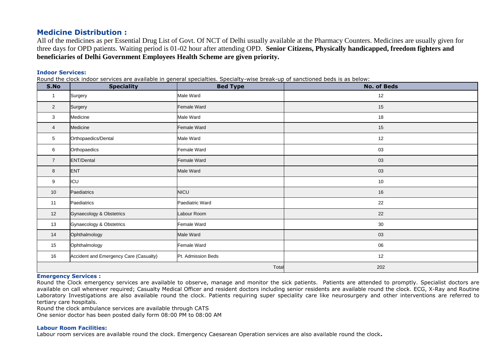# **Medicine Distribution :**

All of the medicines as per Essential Drug List of Govt. Of NCT of Delhi usually available at the Pharmacy Counters. Medicines are usually given for three days for OPD patients. Waiting period is 01-02 hour after attending OPD. **Senior Citizens, Physically handicapped, freedom fighters and beneficiaries of Delhi Government Employees Health Scheme are given priority.**

#### **Indoor Services:**

Round the clock indoor services are available in general specialties. Specialty-wise break-up of sanctioned beds is as below:

| S.No           | <b>Speciality</b>                      | <b>Bed Type</b>    | <b>No. of Beds</b> |
|----------------|----------------------------------------|--------------------|--------------------|
| $\mathbf{1}$   | Surgery                                | Male Ward          | 12                 |
| $\overline{2}$ | Surgery                                | Female Ward        | 15                 |
| $\mathbf{3}$   | Medicine                               | Male Ward          | 18                 |
| $\overline{4}$ | Medicine                               | Female Ward        | 15                 |
| 5              | Orthopaedics/Dental                    | Male Ward          | 12                 |
| 6              | Orthopaedics                           | Female Ward        | 03                 |
| $\overline{7}$ | ENT/Dental                             | Female Ward        | 03                 |
| 8              | ENT                                    | Male Ward          | 03                 |
| 9              | ICU                                    |                    | 10                 |
| 10             | Paediatrics                            | <b>NICU</b>        | 16                 |
| 11             | Paediatrics                            | Paediatric Ward    | 22                 |
| 12             | Gynaecology & Obstetrics               | Labour Room        | 22                 |
| 13             | Gynaecology & Obstetrics               | Female Ward        | 30                 |
| 14             | Ophthalmology                          | Male Ward          | 03                 |
| 15             | Ophthalmology                          | Female Ward        | 06                 |
| 16             | Accident and Emergency Care (Casualty) | Pt. Admission Beds | 12                 |
|                |                                        | Total              | 202                |

#### **Emergency Services :**

Round the Clock emergency services are available to observe, manage and monitor the sick patients. Patients are attended to promptly. Specialist doctors are available on call whenever required; Casualty Medical Officer and resident doctors including senior residents are available round the clock. ECG, X-Ray and Routine Laboratory Investigations are also available round the clock. Patients requiring super speciality care like neurosurgery and other interventions are referred to tertiary care hospitals.

Round the clock ambulance services are available through CATS

One senior doctor has been posted daily form 08:00 PM to 08:00 AM

#### **Labour Room Facilities:**

Labour room services are available round the clock. Emergency Caesarean Operation services are also available round the clock**.**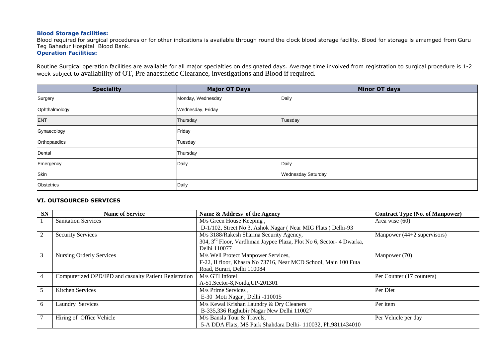### **Blood Storage facilities:**

Blood required for surgical procedures or for other indications is available through round the clock blood storage facility. Blood for storage is arramged from Guru Teg Bahadur Hospital Blood Bank.

# **Operation Facilities:**

Routine Surgical operation facilities are available for all major specialties on designated days. Average time involved from registration to surgical procedure is 1-2 week subject to availability of OT, Pre anaesthetic Clearance, investigations and Blood if required.

| <b>Speciality</b> | <b>Major OT Days</b> | Minor OT days      |
|-------------------|----------------------|--------------------|
| Surgery           | Monday, Wednesday    | Daily              |
| Ophthalmology     | Wednesday, Friday    |                    |
| <b>ENT</b>        | Thursday             | Tuesday            |
| Gynaecology       | Friday               |                    |
| Orthopaedics      | Tuesday              |                    |
| Dental            | Thursday             |                    |
| Emergency         | Daily                | Daily              |
| Skin              |                      | Wednesday Saturday |
| Obstetrics        | Daily                |                    |

### **VI. OUTSOURCED SERVICES**

| <b>SN</b> | <b>Name of Service</b>                                 | Name & Address of the Agency                                                   | <b>Contract Type (No. of Manpower)</b> |
|-----------|--------------------------------------------------------|--------------------------------------------------------------------------------|----------------------------------------|
|           | <b>Sanitation Services</b>                             | M/s Green House Keeping,                                                       | Area wise $(60)$                       |
|           |                                                        | D-1/102, Street No 3, Ashok Nagar (Near MIG Flats) Delhi-93                    |                                        |
| 2         | <b>Security Services</b>                               | M/s 3188/Rakesh Sharma Security Agency,                                        | Manpower (44+2 supervisors)            |
|           |                                                        | 304, 3 <sup>rd</sup> Floor, Vardhman Jaypee Plaza, Plot No 6, Sector-4 Dwarka, |                                        |
|           |                                                        | Delhi 110077                                                                   |                                        |
| 3         | Nursing Orderly Services                               | M/s Well Protect Manpower Services,                                            | Manpower (70)                          |
|           |                                                        | F-22, II floor, Khasra No 73716, Near MCD School, Main 100 Futa                |                                        |
|           |                                                        | Road, Burari, Delhi 110084                                                     |                                        |
| 4         | Computerized OPD/IPD and casualty Patient Registration | M/s GTI Infotel                                                                | Per Counter (17 counters)              |
|           |                                                        | A-51, Sector-8, Noida, UP-201301                                               |                                        |
|           | Kitchen Services                                       | M/s Prime Services,                                                            | Per Diet                               |
|           |                                                        | E-30 Moti Nagar, Delhi -110015                                                 |                                        |
| 6         | Laundry Services                                       | M/s Kewal Krishan Laundry & Dry Cleaners                                       | Per item                               |
|           |                                                        | B-335,336 Raghubir Nagar New Delhi 110027                                      |                                        |
|           | Hiring of Office Vehicle                               | M/s Bansla Tour & Travels,                                                     | Per Vehicle per day                    |
|           |                                                        | 5-A DDA Flats, MS Park Shahdara Delhi- 110032, Ph.9811434010                   |                                        |